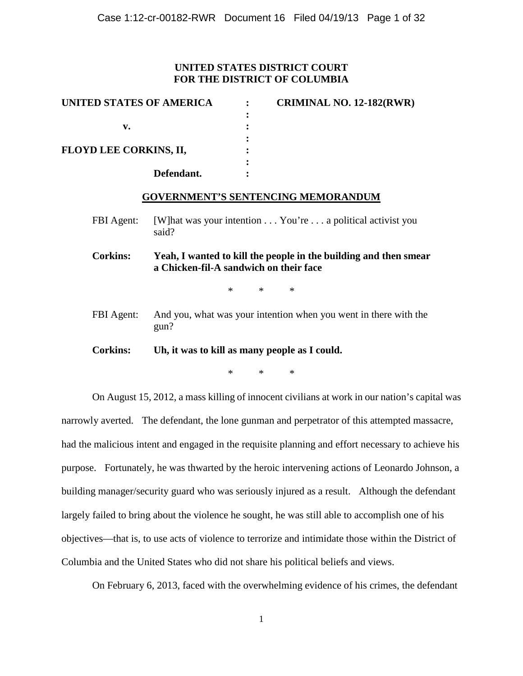# **UNITED STATES DISTRICT COURT FOR THE DISTRICT OF COLUMBIA**

| UNITED STATES OF AMERICA      | <b>CRIMINAL NO. 12-182(RWR)</b> |
|-------------------------------|---------------------------------|
|                               |                                 |
| v.                            |                                 |
|                               |                                 |
| <b>FLOYD LEE CORKINS, II,</b> |                                 |
|                               |                                 |
| Defendant.                    |                                 |

## **GOVERNMENT'S SENTENCING MEMORANDUM**

FBI Agent: [W]hat was your intention . . . You're . . . a political activist you said?

**Corkins: Yeah, I wanted to kill the people in the building and then smear a Chicken-fil-A sandwich on their face**

\* \* \*

FBI Agent: And you, what was your intention when you went in there with the gun?

**Corkins: Uh, it was to kill as many people as I could.**

\* \* \*

On August 15, 2012, a mass killing of innocent civilians at work in our nation's capital was narrowly averted. The defendant, the lone gunman and perpetrator of this attempted massacre, had the malicious intent and engaged in the requisite planning and effort necessary to achieve his purpose. Fortunately, he was thwarted by the heroic intervening actions of Leonardo Johnson, a building manager/security guard who was seriously injured as a result. Although the defendant largely failed to bring about the violence he sought, he was still able to accomplish one of his objectives—that is, to use acts of violence to terrorize and intimidate those within the District of Columbia and the United States who did not share his political beliefs and views.

On February 6, 2013, faced with the overwhelming evidence of his crimes, the defendant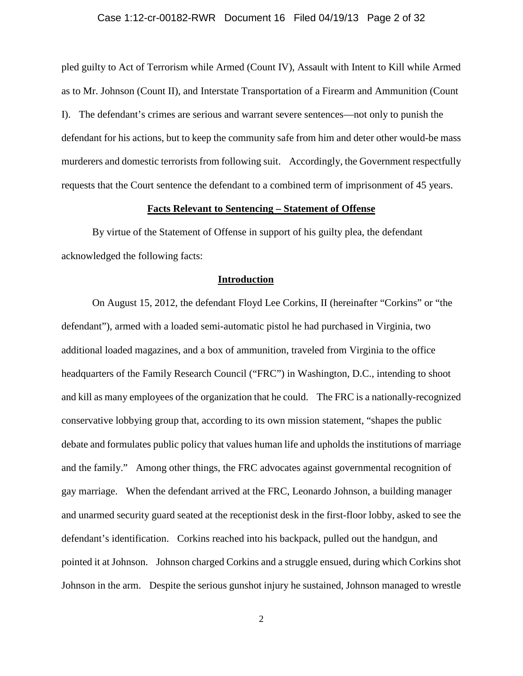### Case 1:12-cr-00182-RWR Document 16 Filed 04/19/13 Page 2 of 32

pled guilty to Act of Terrorism while Armed (Count IV), Assault with Intent to Kill while Armed as to Mr. Johnson (Count II), and Interstate Transportation of a Firearm and Ammunition (Count I). The defendant's crimes are serious and warrant severe sentences—not only to punish the defendant for his actions, but to keep the community safe from him and deter other would-be mass murderers and domestic terrorists from following suit. Accordingly, the Government respectfully requests that the Court sentence the defendant to a combined term of imprisonment of 45 years.

#### **Facts Relevant to Sentencing – Statement of Offense**

By virtue of the Statement of Offense in support of his guilty plea, the defendant acknowledged the following facts:

#### **Introduction**

On August 15, 2012, the defendant Floyd Lee Corkins, II (hereinafter "Corkins" or "the defendant"), armed with a loaded semi-automatic pistol he had purchased in Virginia, two additional loaded magazines, and a box of ammunition, traveled from Virginia to the office headquarters of the Family Research Council ("FRC") in Washington, D.C., intending to shoot and kill as many employees of the organization that he could. The FRC is a nationally-recognized conservative lobbying group that, according to its own mission statement, "shapes the public debate and formulates public policy that values human life and upholds the institutions of marriage and the family." Among other things, the FRC advocates against governmental recognition of gay marriage. When the defendant arrived at the FRC, Leonardo Johnson, a building manager and unarmed security guard seated at the receptionist desk in the first-floor lobby, asked to see the defendant's identification. Corkins reached into his backpack, pulled out the handgun, and pointed it at Johnson. Johnson charged Corkins and a struggle ensued, during which Corkins shot Johnson in the arm. Despite the serious gunshot injury he sustained, Johnson managed to wrestle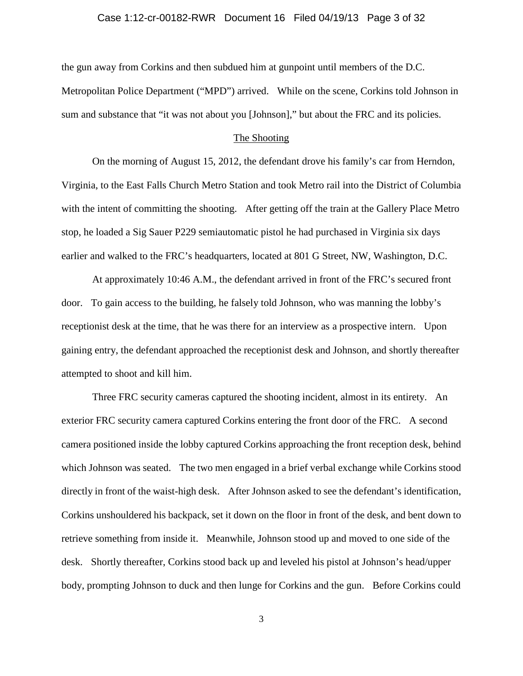### Case 1:12-cr-00182-RWR Document 16 Filed 04/19/13 Page 3 of 32

the gun away from Corkins and then subdued him at gunpoint until members of the D.C. Metropolitan Police Department ("MPD") arrived. While on the scene, Corkins told Johnson in sum and substance that "it was not about you [Johnson]," but about the FRC and its policies.

### The Shooting

On the morning of August 15, 2012, the defendant drove his family's car from Herndon, Virginia, to the East Falls Church Metro Station and took Metro rail into the District of Columbia with the intent of committing the shooting. After getting off the train at the Gallery Place Metro stop, he loaded a Sig Sauer P229 semiautomatic pistol he had purchased in Virginia six days earlier and walked to the FRC's headquarters, located at 801 G Street, NW, Washington, D.C.

At approximately 10:46 A.M., the defendant arrived in front of the FRC's secured front door. To gain access to the building, he falsely told Johnson, who was manning the lobby's receptionist desk at the time, that he was there for an interview as a prospective intern. Upon gaining entry, the defendant approached the receptionist desk and Johnson, and shortly thereafter attempted to shoot and kill him.

Three FRC security cameras captured the shooting incident, almost in its entirety. An exterior FRC security camera captured Corkins entering the front door of the FRC. A second camera positioned inside the lobby captured Corkins approaching the front reception desk, behind which Johnson was seated. The two men engaged in a brief verbal exchange while Corkins stood directly in front of the waist-high desk. After Johnson asked to see the defendant's identification, Corkins unshouldered his backpack, set it down on the floor in front of the desk, and bent down to retrieve something from inside it. Meanwhile, Johnson stood up and moved to one side of the desk. Shortly thereafter, Corkins stood back up and leveled his pistol at Johnson's head/upper body, prompting Johnson to duck and then lunge for Corkins and the gun. Before Corkins could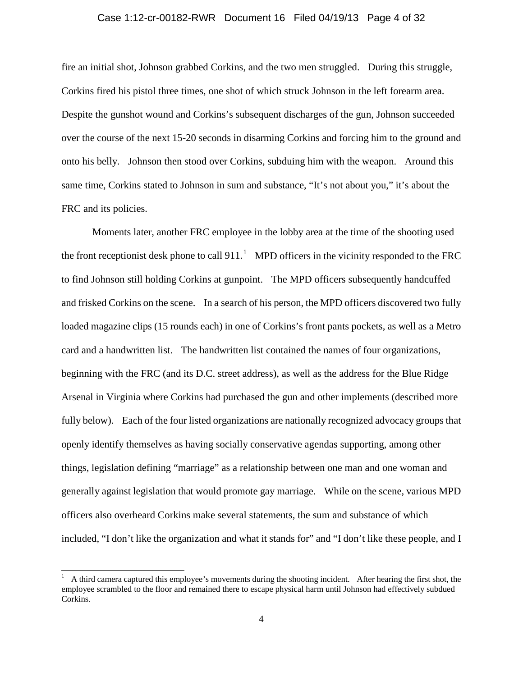#### Case 1:12-cr-00182-RWR Document 16 Filed 04/19/13 Page 4 of 32

fire an initial shot, Johnson grabbed Corkins, and the two men struggled. During this struggle, Corkins fired his pistol three times, one shot of which struck Johnson in the left forearm area. Despite the gunshot wound and Corkins's subsequent discharges of the gun, Johnson succeeded over the course of the next 15-20 seconds in disarming Corkins and forcing him to the ground and onto his belly. Johnson then stood over Corkins, subduing him with the weapon. Around this same time, Corkins stated to Johnson in sum and substance, "It's not about you," it's about the FRC and its policies.

Moments later, another FRC employee in the lobby area at the time of the shooting used the front receptionist desk phone to call 9[1](#page-3-0)1.<sup>1</sup> MPD officers in the vicinity responded to the FRC to find Johnson still holding Corkins at gunpoint. The MPD officers subsequently handcuffed and frisked Corkins on the scene. In a search of his person, the MPD officers discovered two fully loaded magazine clips (15 rounds each) in one of Corkins's front pants pockets, as well as a Metro card and a handwritten list. The handwritten list contained the names of four organizations, beginning with the FRC (and its D.C. street address), as well as the address for the Blue Ridge Arsenal in Virginia where Corkins had purchased the gun and other implements (described more fully below). Each of the four listed organizations are nationally recognized advocacy groups that openly identify themselves as having socially conservative agendas supporting, among other things, legislation defining "marriage" as a relationship between one man and one woman and generally against legislation that would promote gay marriage. While on the scene, various MPD officers also overheard Corkins make several statements, the sum and substance of which included, "I don't like the organization and what it stands for" and "I don't like these people, and I

<span id="page-3-0"></span> $\frac{1}{1}$  A third camera captured this employee's movements during the shooting incident. After hearing the first shot, the employee scrambled to the floor and remained there to escape physical harm until Johnson had effectively subdued Corkins.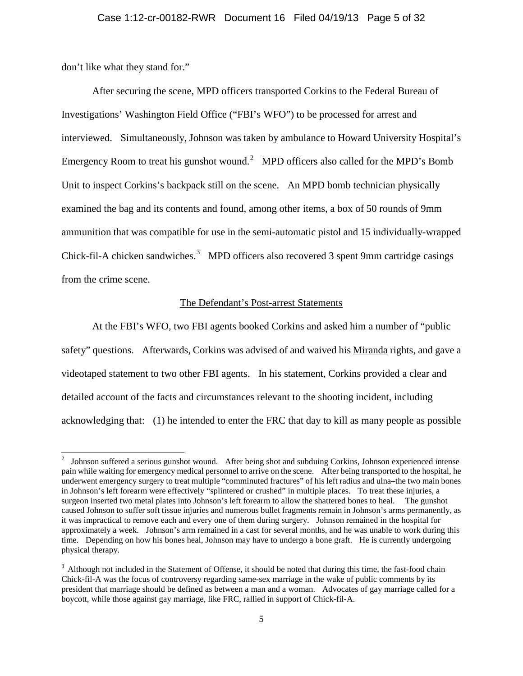don't like what they stand for."

After securing the scene, MPD officers transported Corkins to the Federal Bureau of Investigations' Washington Field Office ("FBI's WFO") to be processed for arrest and interviewed. Simultaneously, Johnson was taken by ambulance to Howard University Hospital's Emergency Room to treat his gunshot wound.<sup>[2](#page-4-0)</sup> MPD officers also called for the MPD's Bomb Unit to inspect Corkins's backpack still on the scene. An MPD bomb technician physically examined the bag and its contents and found, among other items, a box of 50 rounds of 9mm ammunition that was compatible for use in the semi-automatic pistol and 15 individually-wrapped Chick-fil-A chicken sandwiches. $3$  MPD officers also recovered 3 spent 9mm cartridge casings from the crime scene.

### The Defendant's Post-arrest Statements

At the FBI's WFO, two FBI agents booked Corkins and asked him a number of "public safety" questions. Afterwards, Corkins was advised of and waived his Miranda rights, and gave a videotaped statement to two other FBI agents. In his statement, Corkins provided a clear and detailed account of the facts and circumstances relevant to the shooting incident, including acknowledging that: (1) he intended to enter the FRC that day to kill as many people as possible

<span id="page-4-0"></span> <sup>2</sup> Johnson suffered a serious gunshot wound. After being shot and subduing Corkins, Johnson experienced intense pain while waiting for emergency medical personnel to arrive on the scene. After being transported to the hospital, he underwent emergency surgery to treat multiple "comminuted fractures" of his left radius and ulna–the two main bones in Johnson's left forearm were effectively "splintered or crushed" in multiple places. To treat these injuries, a surgeon inserted two metal plates into Johnson's left forearm to allow the shattered bones to heal. The gunshot caused Johnson to suffer soft tissue injuries and numerous bullet fragments remain in Johnson's arms permanently, as it was impractical to remove each and every one of them during surgery. Johnson remained in the hospital for approximately a week. Johnson's arm remained in a cast for several months, and he was unable to work during this time. Depending on how his bones heal, Johnson may have to undergo a bone graft. He is currently undergoing physical therapy.

<span id="page-4-1"></span> $3$  Although not included in the Statement of Offense, it should be noted that during this time, the fast-food chain Chick-fil-A was the focus of controversy regarding same-sex marriage in the wake of public comments by its president that marriage should be defined as between a man and a woman. Advocates of gay marriage called for a boycott, while those against gay marriage, like FRC, rallied in support of Chick-fil-A.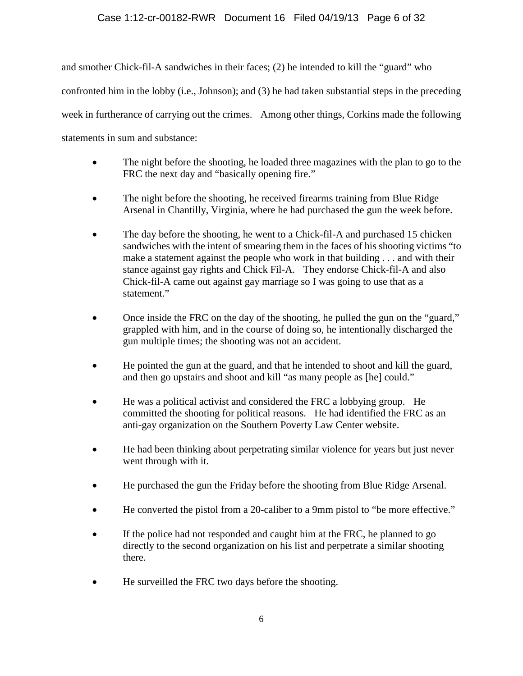# Case 1:12-cr-00182-RWR Document 16 Filed 04/19/13 Page 6 of 32

and smother Chick-fil-A sandwiches in their faces; (2) he intended to kill the "guard" who confronted him in the lobby (i.e., Johnson); and (3) he had taken substantial steps in the preceding week in furtherance of carrying out the crimes. Among other things, Corkins made the following statements in sum and substance:

- The night before the shooting, he loaded three magazines with the plan to go to the FRC the next day and "basically opening fire."
- The night before the shooting, he received firearms training from Blue Ridge Arsenal in Chantilly, Virginia, where he had purchased the gun the week before.
- The day before the shooting, he went to a Chick-fil-A and purchased 15 chicken sandwiches with the intent of smearing them in the faces of his shooting victims "to make a statement against the people who work in that building . . . and with their stance against gay rights and Chick Fil-A. They endorse Chick-fil-A and also Chick-fil-A came out against gay marriage so I was going to use that as a statement."
- Once inside the FRC on the day of the shooting, he pulled the gun on the "guard," grappled with him, and in the course of doing so, he intentionally discharged the gun multiple times; the shooting was not an accident.
- He pointed the gun at the guard, and that he intended to shoot and kill the guard, and then go upstairs and shoot and kill "as many people as [he] could."
- He was a political activist and considered the FRC a lobbying group. He committed the shooting for political reasons. He had identified the FRC as an anti-gay organization on the Southern Poverty Law Center website.
- He had been thinking about perpetrating similar violence for years but just never went through with it.
- He purchased the gun the Friday before the shooting from Blue Ridge Arsenal.
- He converted the pistol from a 20-caliber to a 9mm pistol to "be more effective."
- If the police had not responded and caught him at the FRC, he planned to go directly to the second organization on his list and perpetrate a similar shooting there.
- He surveilled the FRC two days before the shooting.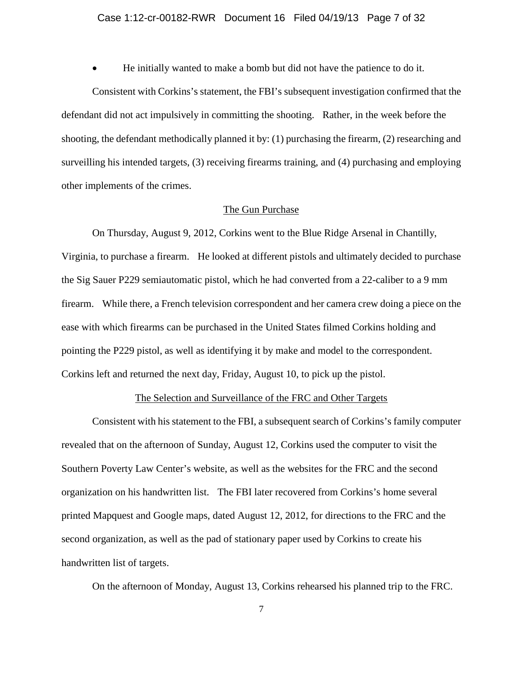### Case 1:12-cr-00182-RWR Document 16 Filed 04/19/13 Page 7 of 32

• He initially wanted to make a bomb but did not have the patience to do it.

Consistent with Corkins's statement, the FBI's subsequent investigation confirmed that the defendant did not act impulsively in committing the shooting. Rather, in the week before the shooting, the defendant methodically planned it by: (1) purchasing the firearm, (2) researching and surveilling his intended targets, (3) receiving firearms training, and (4) purchasing and employing other implements of the crimes.

#### The Gun Purchase

On Thursday, August 9, 2012, Corkins went to the Blue Ridge Arsenal in Chantilly, Virginia, to purchase a firearm. He looked at different pistols and ultimately decided to purchase the Sig Sauer P229 semiautomatic pistol, which he had converted from a 22-caliber to a 9 mm firearm. While there, a French television correspondent and her camera crew doing a piece on the ease with which firearms can be purchased in the United States filmed Corkins holding and pointing the P229 pistol, as well as identifying it by make and model to the correspondent. Corkins left and returned the next day, Friday, August 10, to pick up the pistol.

### The Selection and Surveillance of the FRC and Other Targets

Consistent with his statement to the FBI, a subsequent search of Corkins's family computer revealed that on the afternoon of Sunday, August 12, Corkins used the computer to visit the Southern Poverty Law Center's website, as well as the websites for the FRC and the second organization on his handwritten list. The FBI later recovered from Corkins's home several printed Mapquest and Google maps, dated August 12, 2012, for directions to the FRC and the second organization, as well as the pad of stationary paper used by Corkins to create his handwritten list of targets.

On the afternoon of Monday, August 13, Corkins rehearsed his planned trip to the FRC.

7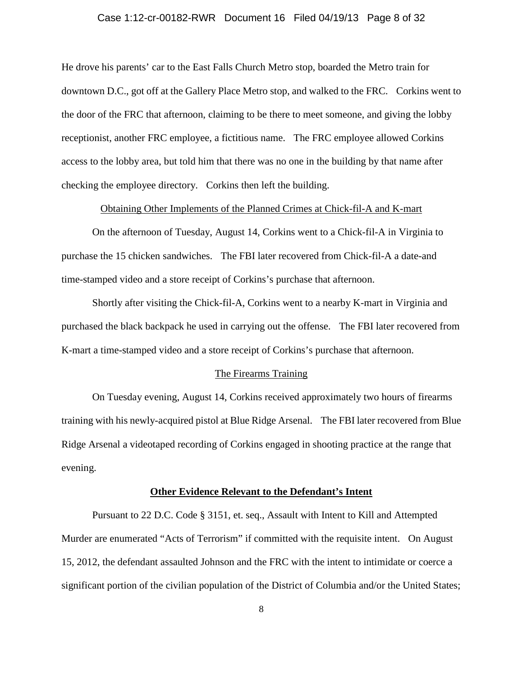### Case 1:12-cr-00182-RWR Document 16 Filed 04/19/13 Page 8 of 32

He drove his parents' car to the East Falls Church Metro stop, boarded the Metro train for downtown D.C., got off at the Gallery Place Metro stop, and walked to the FRC. Corkins went to the door of the FRC that afternoon, claiming to be there to meet someone, and giving the lobby receptionist, another FRC employee, a fictitious name. The FRC employee allowed Corkins access to the lobby area, but told him that there was no one in the building by that name after checking the employee directory. Corkins then left the building.

Obtaining Other Implements of the Planned Crimes at Chick-fil-A and K-mart

On the afternoon of Tuesday, August 14, Corkins went to a Chick-fil-A in Virginia to purchase the 15 chicken sandwiches. The FBI later recovered from Chick-fil-A a date-and time-stamped video and a store receipt of Corkins's purchase that afternoon.

Shortly after visiting the Chick-fil-A, Corkins went to a nearby K-mart in Virginia and purchased the black backpack he used in carrying out the offense. The FBI later recovered from K-mart a time-stamped video and a store receipt of Corkins's purchase that afternoon.

#### The Firearms Training

On Tuesday evening, August 14, Corkins received approximately two hours of firearms training with his newly-acquired pistol at Blue Ridge Arsenal. The FBI later recovered from Blue Ridge Arsenal a videotaped recording of Corkins engaged in shooting practice at the range that evening.

#### **Other Evidence Relevant to the Defendant's Intent**

Pursuant to 22 D.C. Code § 3151, et. seq., Assault with Intent to Kill and Attempted Murder are enumerated "Acts of Terrorism" if committed with the requisite intent. On August 15, 2012, the defendant assaulted Johnson and the FRC with the intent to intimidate or coerce a significant portion of the civilian population of the District of Columbia and/or the United States;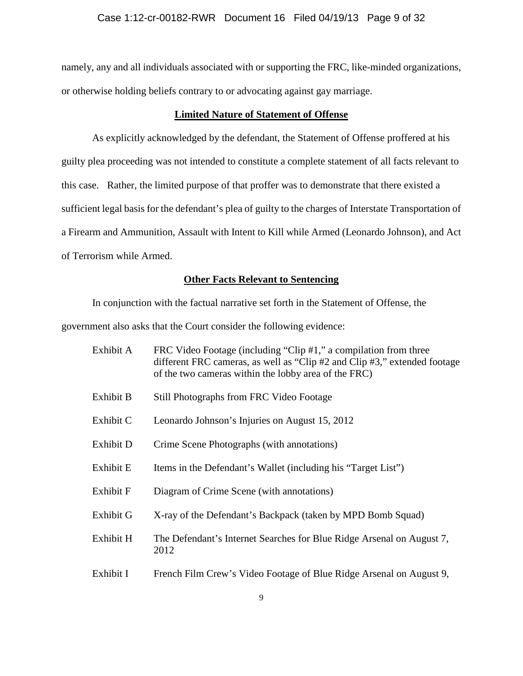### Case 1:12-cr-00182-RWR Document 16 Filed 04/19/13 Page 9 of 32

namely, any and all individuals associated with or supporting the FRC, like-minded organizations, or otherwise holding beliefs contrary to or advocating against gay marriage.

## **Limited Nature of Statement of Offense**

As explicitly acknowledged by the defendant, the Statement of Offense proffered at his guilty plea proceeding was not intended to constitute a complete statement of all facts relevant to this case. Rather, the limited purpose of that proffer was to demonstrate that there existed a sufficient legal basis for the defendant's plea of guilty to the charges of Interstate Transportation of a Firearm and Ammunition, Assault with Intent to Kill while Armed (Leonardo Johnson), and Act of Terrorism while Armed.

### **Other Facts Relevant to Sentencing**

In conjunction with the factual narrative set forth in the Statement of Offense, the government also asks that the Court consider the following evidence:

| Exhibit A        | FRC Video Footage (including "Clip #1," a compilation from three<br>different FRC cameras, as well as "Clip #2 and Clip #3," extended footage<br>of the two cameras within the lobby area of the FRC) |
|------------------|-------------------------------------------------------------------------------------------------------------------------------------------------------------------------------------------------------|
| Exhibit B        | Still Photographs from FRC Video Footage                                                                                                                                                              |
| Exhibit C        | Leonardo Johnson's Injuries on August 15, 2012                                                                                                                                                        |
| Exhibit D        | Crime Scene Photographs (with annotations)                                                                                                                                                            |
| Exhibit E        | Items in the Defendant's Wallet (including his "Target List")                                                                                                                                         |
| <b>Exhibit F</b> | Diagram of Crime Scene (with annotations)                                                                                                                                                             |
| Exhibit G        | X-ray of the Defendant's Backpack (taken by MPD Bomb Squad)                                                                                                                                           |
| Exhibit H        | The Defendant's Internet Searches for Blue Ridge Arsenal on August 7,<br>2012                                                                                                                         |
| Exhibit I        | French Film Crew's Video Footage of Blue Ridge Arsenal on August 9,                                                                                                                                   |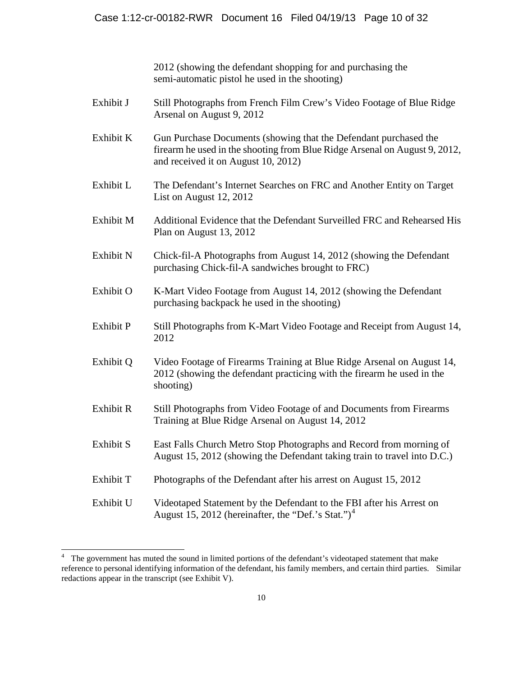2012 (showing the defendant shopping for and purchasing the semi-automatic pistol he used in the shooting)

- Exhibit J Still Photographs from French Film Crew's Video Footage of Blue Ridge Arsenal on August 9, 2012
- Exhibit K Gun Purchase Documents (showing that the Defendant purchased the firearm he used in the shooting from Blue Ridge Arsenal on August 9, 2012, and received it on August 10, 2012)
- Exhibit L The Defendant's Internet Searches on FRC and Another Entity on Target List on August 12, 2012
- Exhibit M Additional Evidence that the Defendant Surveilled FRC and Rehearsed His Plan on August 13, 2012
- Exhibit N Chick-fil-A Photographs from August 14, 2012 (showing the Defendant purchasing Chick-fil-A sandwiches brought to FRC)
- Exhibit O K-Mart Video Footage from August 14, 2012 (showing the Defendant purchasing backpack he used in the shooting)
- Exhibit P Still Photographs from K-Mart Video Footage and Receipt from August 14, 2012
- Exhibit Q Video Footage of Firearms Training at Blue Ridge Arsenal on August 14, 2012 (showing the defendant practicing with the firearm he used in the shooting)
- Exhibit R Still Photographs from Video Footage of and Documents from Firearms Training at Blue Ridge Arsenal on August 14, 2012
- Exhibit S East Falls Church Metro Stop Photographs and Record from morning of August 15, 2012 (showing the Defendant taking train to travel into D.C.)
- Exhibit T Photographs of the Defendant after his arrest on August 15, 2012
- Exhibit U Videotaped Statement by the Defendant to the FBI after his Arrest on August 15, 2012 (hereinafter, the "Def.'s Stat.")<sup>[4](#page-9-0)</sup>

<span id="page-9-0"></span> <sup>4</sup> The government has muted the sound in limited portions of the defendant's videotaped statement that make reference to personal identifying information of the defendant, his family members, and certain third parties. Similar redactions appear in the transcript (see Exhibit V).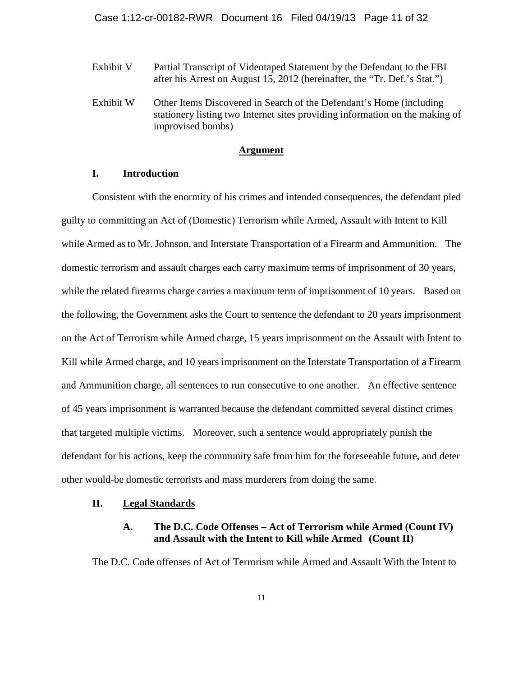- Exhibit V Partial Transcript of Videotaped Statement by the Defendant to the FBI after his Arrest on August 15, 2012 (hereinafter, the "Tr. Def.'s Stat.")
- Exhibit W Other Items Discovered in Search of the Defendant's Home (including stationery listing two Internet sites providing information on the making of improvised bombs)

### **Argument**

### **I. Introduction**

Consistent with the enormity of his crimes and intended consequences, the defendant pled guilty to committing an Act of (Domestic) Terrorism while Armed, Assault with Intent to Kill while Armed as to Mr. Johnson, and Interstate Transportation of a Firearm and Ammunition. The domestic terrorism and assault charges each carry maximum terms of imprisonment of 30 years, while the related firearms charge carries a maximum term of imprisonment of 10 years. Based on the following, the Government asks the Court to sentence the defendant to 20 years imprisonment on the Act of Terrorism while Armed charge, 15 years imprisonment on the Assault with Intent to Kill while Armed charge, and 10 years imprisonment on the Interstate Transportation of a Firearm and Ammunition charge, all sentences to run consecutive to one another. An effective sentence of 45 years imprisonment is warranted because the defendant committed several distinct crimes that targeted multiple victims. Moreover, such a sentence would appropriately punish the defendant for his actions, keep the community safe from him for the foreseeable future, and deter other would-be domestic terrorists and mass murderers from doing the same.

### **II. Legal Standards**

## **A. The D.C. Code Offenses – Act of Terrorism while Armed (Count IV) and Assault with the Intent to Kill while Armed (Count II)**

The D.C. Code offenses of Act of Terrorism while Armed and Assault With the Intent to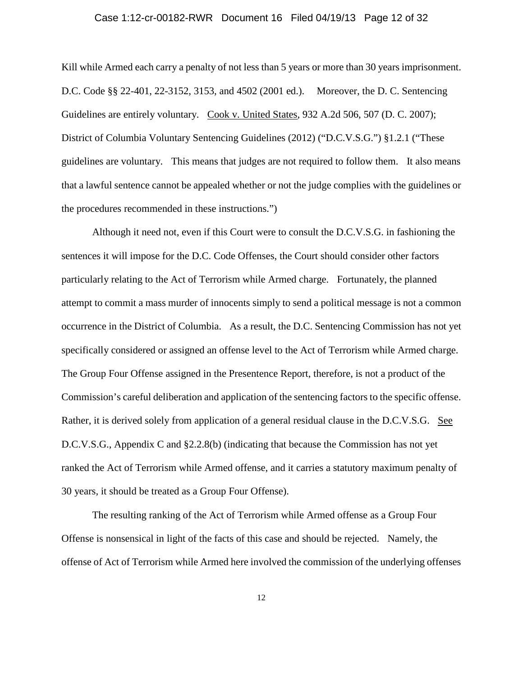### Case 1:12-cr-00182-RWR Document 16 Filed 04/19/13 Page 12 of 32

Kill while Armed each carry a penalty of not less than 5 years or more than 30 years imprisonment. D.C. Code §§ 22-401, 22-3152, 3153, and 4502 (2001 ed.). Moreover, the D. C. Sentencing Guidelines are entirely voluntary. Cook v. United States, 932 A.2d 506, 507 (D. C. 2007); District of Columbia Voluntary Sentencing Guidelines (2012) ("D.C.V.S.G.") §1.2.1 ("These guidelines are voluntary. This means that judges are not required to follow them. It also means that a lawful sentence cannot be appealed whether or not the judge complies with the guidelines or the procedures recommended in these instructions.")

Although it need not, even if this Court were to consult the D.C.V.S.G. in fashioning the sentences it will impose for the D.C. Code Offenses, the Court should consider other factors particularly relating to the Act of Terrorism while Armed charge. Fortunately, the planned attempt to commit a mass murder of innocents simply to send a political message is not a common occurrence in the District of Columbia. As a result, the D.C. Sentencing Commission has not yet specifically considered or assigned an offense level to the Act of Terrorism while Armed charge. The Group Four Offense assigned in the Presentence Report, therefore, is not a product of the Commission's careful deliberation and application of the sentencing factors to the specific offense. Rather, it is derived solely from application of a general residual clause in the D.C.V.S.G. See D.C.V.S.G., Appendix C and §2.2.8(b) (indicating that because the Commission has not yet ranked the Act of Terrorism while Armed offense, and it carries a statutory maximum penalty of 30 years, it should be treated as a Group Four Offense).

The resulting ranking of the Act of Terrorism while Armed offense as a Group Four Offense is nonsensical in light of the facts of this case and should be rejected. Namely, the offense of Act of Terrorism while Armed here involved the commission of the underlying offenses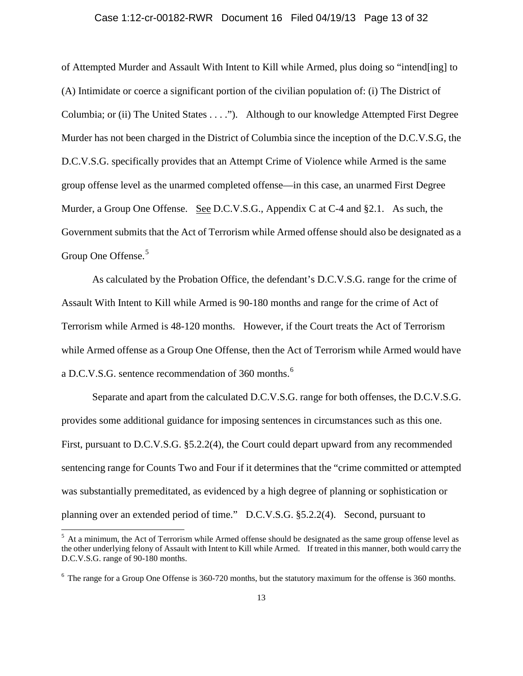### Case 1:12-cr-00182-RWR Document 16 Filed 04/19/13 Page 13 of 32

of Attempted Murder and Assault With Intent to Kill while Armed, plus doing so "intend[ing] to (A) Intimidate or coerce a significant portion of the civilian population of: (i) The District of Columbia; or (ii) The United States . . . ."). Although to our knowledge Attempted First Degree Murder has not been charged in the District of Columbia since the inception of the D.C.V.S.G, the D.C.V.S.G. specifically provides that an Attempt Crime of Violence while Armed is the same group offense level as the unarmed completed offense—in this case, an unarmed First Degree Murder, a Group One Offense. See D.C.V.S.G., Appendix C at C-4 and §2.1. As such, the Government submits that the Act of Terrorism while Armed offense should also be designated as a Group One Offense.<sup>[5](#page-12-0)</sup>

As calculated by the Probation Office, the defendant's D.C.V.S.G. range for the crime of Assault With Intent to Kill while Armed is 90-180 months and range for the crime of Act of Terrorism while Armed is 48-120 months. However, if the Court treats the Act of Terrorism while Armed offense as a Group One Offense, then the Act of Terrorism while Armed would have a D.C.V.S.G. sentence recommendation of 3[6](#page-12-1)0 months.<sup>6</sup>

Separate and apart from the calculated D.C.V.S.G. range for both offenses, the D.C.V.S.G. provides some additional guidance for imposing sentences in circumstances such as this one. First, pursuant to D.C.V.S.G. §5.2.2(4), the Court could depart upward from any recommended sentencing range for Counts Two and Four if it determines that the "crime committed or attempted was substantially premeditated, as evidenced by a high degree of planning or sophistication or planning over an extended period of time." D.C.V.S.G. §5.2.2(4). Second, pursuant to

<span id="page-12-0"></span> $<sup>5</sup>$  At a minimum, the Act of Terrorism while Armed offense should be designated as the same group offense level as</sup> the other underlying felony of Assault with Intent to Kill while Armed. If treated in this manner, both would carry the D.C.V.S.G. range of 90-180 months.

<span id="page-12-1"></span><sup>&</sup>lt;sup>6</sup> The range for a Group One Offense is 360-720 months, but the statutory maximum for the offense is 360 months.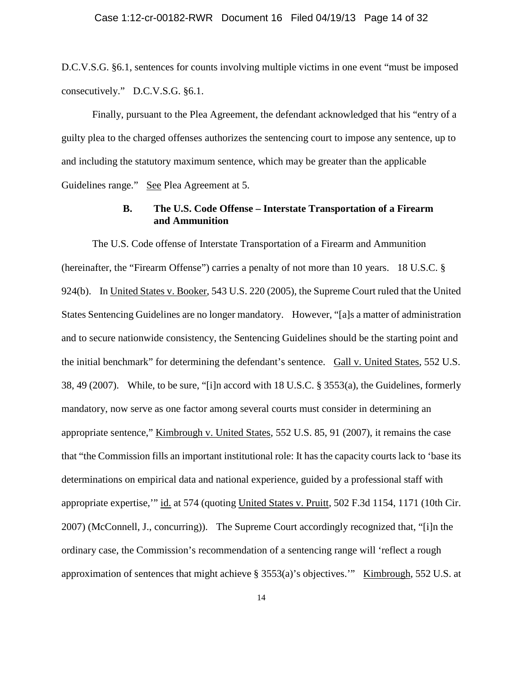D.C.V.S.G. §6.1, sentences for counts involving multiple victims in one event "must be imposed consecutively." D.C.V.S.G. §6.1.

Finally, pursuant to the Plea Agreement, the defendant acknowledged that his "entry of a guilty plea to the charged offenses authorizes the sentencing court to impose any sentence, up to and including the statutory maximum sentence, which may be greater than the applicable Guidelines range." See Plea Agreement at 5.

# **B. The U.S. Code Offense – Interstate Transportation of a Firearm and Ammunition**

The U.S. Code offense of Interstate Transportation of a Firearm and Ammunition (hereinafter, the "Firearm Offense") carries a penalty of not more than 10 years. 18 U.S.C. § 924(b). In United States v. Booker, 543 U.S. 220 (2005), the Supreme Court ruled that the United States Sentencing Guidelines are no longer mandatory. However, "[a]s a matter of administration and to secure nationwide consistency, the Sentencing Guidelines should be the starting point and the initial benchmark" for determining the defendant's sentence. Gall v. United States, 552 U.S. 38, 49 (2007). While, to be sure, "[i]n accord with 18 U.S.C. § 3553(a), the Guidelines, formerly mandatory, now serve as one factor among several courts must consider in determining an appropriate sentence," Kimbrough v. United States, 552 U.S. 85, 91 (2007), it remains the case that "the Commission fills an important institutional role: It has the capacity courts lack to 'base its determinations on empirical data and national experience, guided by a professional staff with appropriate expertise,'" id. at 574 (quoting United States v. Pruitt, 502 F.3d 1154, 1171 (10th Cir. 2007) (McConnell, J., concurring)). The Supreme Court accordingly recognized that, "[i]n the ordinary case, the Commission's recommendation of a sentencing range will 'reflect a rough approximation of sentences that might achieve § 3553(a)'s objectives.'" Kimbrough, 552 U.S. at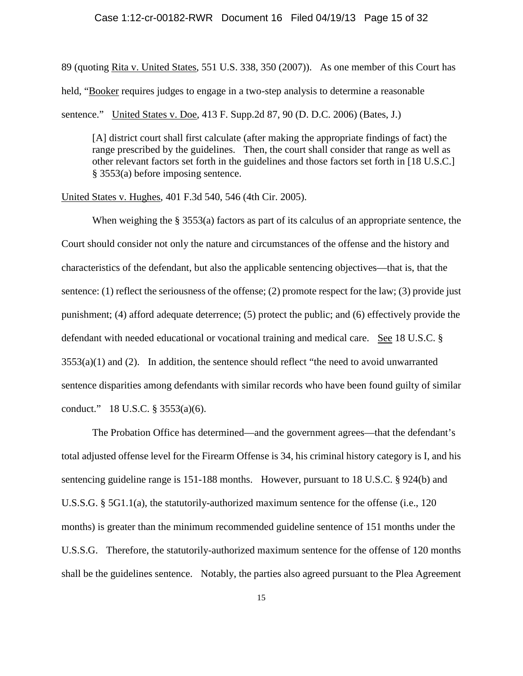#### Case 1:12-cr-00182-RWR Document 16 Filed 04/19/13 Page 15 of 32

89 (quoting Rita v. United States, 551 U.S. 338, 350 (2007)). As one member of this Court has held, "Booker requires judges to engage in a two-step analysis to determine a reasonable sentence." United States v. Doe, 413 F. Supp.2d 87, 90 (D. D.C. 2006) (Bates, J.)

[A] district court shall first calculate (after making the appropriate findings of fact) the range prescribed by the guidelines. Then, the court shall consider that range as well as other relevant factors set forth in the guidelines and those factors set forth in [18 U.S.C.] § 3553(a) before imposing sentence.

United States v. Hughes, 401 F.3d 540, 546 (4th Cir. 2005).

When weighing the § 3553(a) factors as part of its calculus of an appropriate sentence, the Court should consider not only the nature and circumstances of the offense and the history and characteristics of the defendant, but also the applicable sentencing objectives—that is, that the sentence: (1) reflect the seriousness of the offense; (2) promote respect for the law; (3) provide just punishment; (4) afford adequate deterrence; (5) protect the public; and (6) effectively provide the defendant with needed educational or vocational training and medical care. See 18 U.S.C. §  $3553(a)(1)$  and (2). In addition, the sentence should reflect "the need to avoid unwarranted sentence disparities among defendants with similar records who have been found guilty of similar conduct." 18 U.S.C. § 3553(a)(6).

The Probation Office has determined—and the government agrees—that the defendant's total adjusted offense level for the Firearm Offense is 34, his criminal history category is I, and his sentencing guideline range is 151-188 months. However, pursuant to 18 U.S.C. § 924(b) and U.S.S.G. § 5G1.1(a), the statutorily-authorized maximum sentence for the offense (i.e., 120 months) is greater than the minimum recommended guideline sentence of 151 months under the U.S.S.G. Therefore, the statutorily-authorized maximum sentence for the offense of 120 months shall be the guidelines sentence. Notably, the parties also agreed pursuant to the Plea Agreement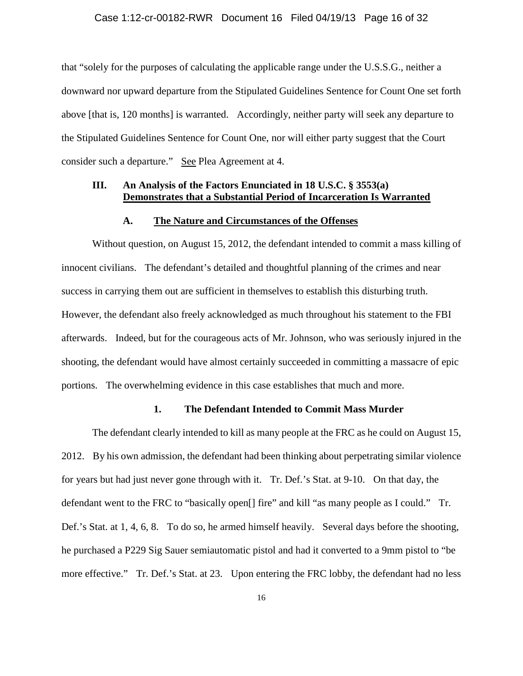### Case 1:12-cr-00182-RWR Document 16 Filed 04/19/13 Page 16 of 32

that "solely for the purposes of calculating the applicable range under the U.S.S.G., neither a downward nor upward departure from the Stipulated Guidelines Sentence for Count One set forth above [that is, 120 months] is warranted. Accordingly, neither party will seek any departure to the Stipulated Guidelines Sentence for Count One, nor will either party suggest that the Court consider such a departure." See Plea Agreement at 4.

### **III. An Analysis of the Factors Enunciated in 18 U.S.C. § 3553(a) Demonstrates that a Substantial Period of Incarceration Is Warranted**

### **A. The Nature and Circumstances of the Offenses**

Without question, on August 15, 2012, the defendant intended to commit a mass killing of innocent civilians. The defendant's detailed and thoughtful planning of the crimes and near success in carrying them out are sufficient in themselves to establish this disturbing truth. However, the defendant also freely acknowledged as much throughout his statement to the FBI afterwards. Indeed, but for the courageous acts of Mr. Johnson, who was seriously injured in the shooting, the defendant would have almost certainly succeeded in committing a massacre of epic portions. The overwhelming evidence in this case establishes that much and more.

## **1. The Defendant Intended to Commit Mass Murder**

The defendant clearly intended to kill as many people at the FRC as he could on August 15, 2012. By his own admission, the defendant had been thinking about perpetrating similar violence for years but had just never gone through with it. Tr. Def.'s Stat. at 9-10. On that day, the defendant went to the FRC to "basically open[] fire" and kill "as many people as I could." Tr. Def.'s Stat. at 1, 4, 6, 8. To do so, he armed himself heavily. Several days before the shooting, he purchased a P229 Sig Sauer semiautomatic pistol and had it converted to a 9mm pistol to "be more effective." Tr. Def.'s Stat. at 23. Upon entering the FRC lobby, the defendant had no less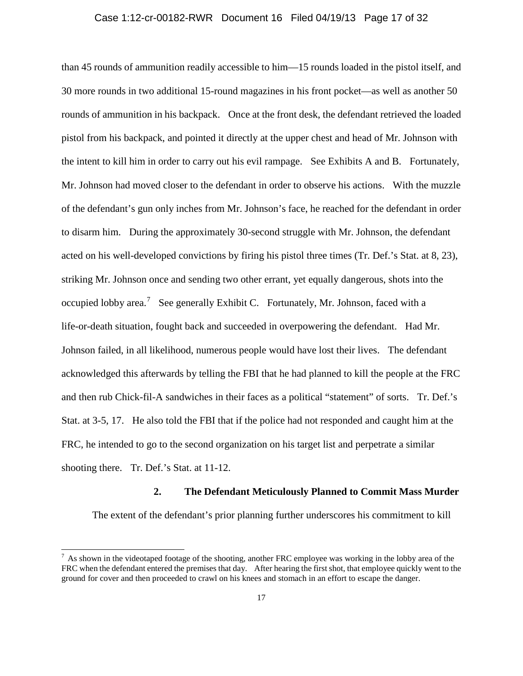### Case 1:12-cr-00182-RWR Document 16 Filed 04/19/13 Page 17 of 32

than 45 rounds of ammunition readily accessible to him—15 rounds loaded in the pistol itself, and 30 more rounds in two additional 15-round magazines in his front pocket—as well as another 50 rounds of ammunition in his backpack. Once at the front desk, the defendant retrieved the loaded pistol from his backpack, and pointed it directly at the upper chest and head of Mr. Johnson with the intent to kill him in order to carry out his evil rampage. See Exhibits A and B. Fortunately, Mr. Johnson had moved closer to the defendant in order to observe his actions. With the muzzle of the defendant's gun only inches from Mr. Johnson's face, he reached for the defendant in order to disarm him. During the approximately 30-second struggle with Mr. Johnson, the defendant acted on his well-developed convictions by firing his pistol three times (Tr. Def.'s Stat. at 8, 23), striking Mr. Johnson once and sending two other errant, yet equally dangerous, shots into the occupied lobby area.<sup>[7](#page-16-0)</sup> See generally Exhibit C. Fortunately, Mr. Johnson, faced with a life-or-death situation, fought back and succeeded in overpowering the defendant. Had Mr. Johnson failed, in all likelihood, numerous people would have lost their lives. The defendant acknowledged this afterwards by telling the FBI that he had planned to kill the people at the FRC and then rub Chick-fil-A sandwiches in their faces as a political "statement" of sorts. Tr. Def.'s Stat. at 3-5, 17. He also told the FBI that if the police had not responded and caught him at the FRC, he intended to go to the second organization on his target list and perpetrate a similar shooting there. Tr. Def.'s Stat. at 11-12.

### **2. The Defendant Meticulously Planned to Commit Mass Murder**

The extent of the defendant's prior planning further underscores his commitment to kill

<span id="page-16-0"></span> $^7$  As shown in the videotaped footage of the shooting, another FRC employee was working in the lobby area of the FRC when the defendant entered the premises that day. After hearing the first shot, that employee quickly went to the ground for cover and then proceeded to crawl on his knees and stomach in an effort to escape the danger.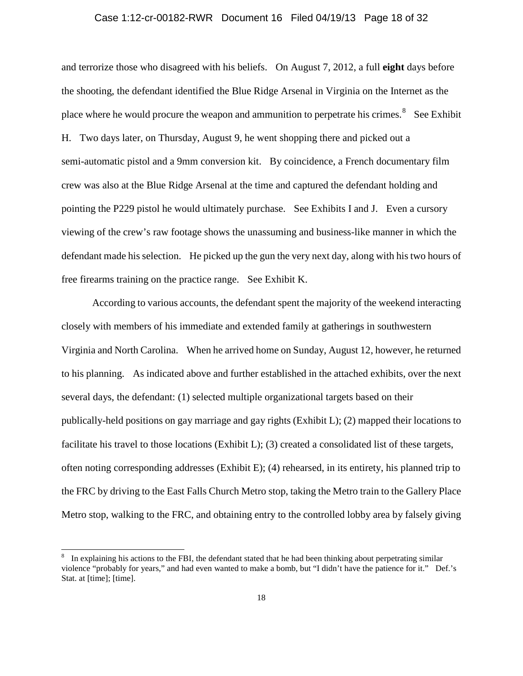### Case 1:12-cr-00182-RWR Document 16 Filed 04/19/13 Page 18 of 32

and terrorize those who disagreed with his beliefs. On August 7, 2012, a full **eight** days before the shooting, the defendant identified the Blue Ridge Arsenal in Virginia on the Internet as the place where he would procure the weapon and ammunition to perpetrate his crimes.<sup>[8](#page-17-0)</sup> See Exhibit H. Two days later, on Thursday, August 9, he went shopping there and picked out a semi-automatic pistol and a 9mm conversion kit. By coincidence, a French documentary film crew was also at the Blue Ridge Arsenal at the time and captured the defendant holding and pointing the P229 pistol he would ultimately purchase. See Exhibits I and J. Even a cursory viewing of the crew's raw footage shows the unassuming and business-like manner in which the defendant made his selection. He picked up the gun the very next day, along with his two hours of free firearms training on the practice range. See Exhibit K.

According to various accounts, the defendant spent the majority of the weekend interacting closely with members of his immediate and extended family at gatherings in southwestern Virginia and North Carolina. When he arrived home on Sunday, August 12, however, he returned to his planning. As indicated above and further established in the attached exhibits, over the next several days, the defendant: (1) selected multiple organizational targets based on their publically-held positions on gay marriage and gay rights (Exhibit L); (2) mapped their locations to facilitate his travel to those locations (Exhibit L); (3) created a consolidated list of these targets, often noting corresponding addresses (Exhibit E); (4) rehearsed, in its entirety, his planned trip to the FRC by driving to the East Falls Church Metro stop, taking the Metro train to the Gallery Place Metro stop, walking to the FRC, and obtaining entry to the controlled lobby area by falsely giving

<span id="page-17-0"></span> <sup>8</sup> In explaining his actions to the FBI, the defendant stated that he had been thinking about perpetrating similar violence "probably for years," and had even wanted to make a bomb, but "I didn't have the patience for it." Def.'s Stat. at [time]; [time].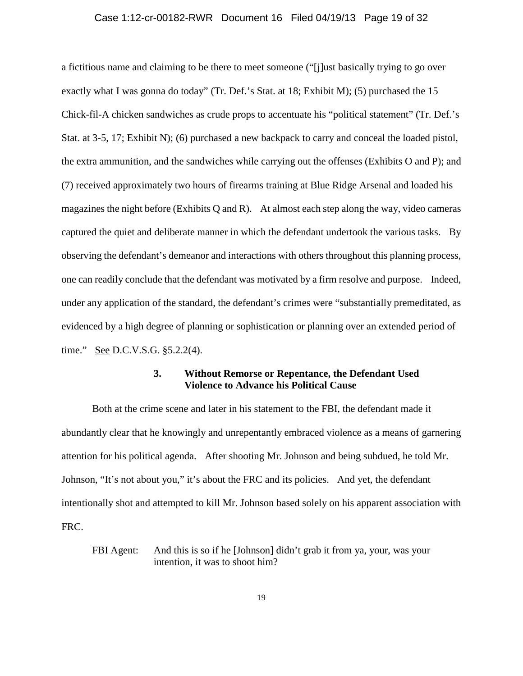### Case 1:12-cr-00182-RWR Document 16 Filed 04/19/13 Page 19 of 32

a fictitious name and claiming to be there to meet someone ("[j]ust basically trying to go over exactly what I was gonna do today" (Tr. Def.'s Stat. at 18; Exhibit M); (5) purchased the 15 Chick-fil-A chicken sandwiches as crude props to accentuate his "political statement" (Tr. Def.'s Stat. at 3-5, 17; Exhibit N); (6) purchased a new backpack to carry and conceal the loaded pistol, the extra ammunition, and the sandwiches while carrying out the offenses (Exhibits O and P); and (7) received approximately two hours of firearms training at Blue Ridge Arsenal and loaded his magazines the night before (Exhibits Q and R). At almost each step along the way, video cameras captured the quiet and deliberate manner in which the defendant undertook the various tasks. By observing the defendant's demeanor and interactions with others throughout this planning process, one can readily conclude that the defendant was motivated by a firm resolve and purpose. Indeed, under any application of the standard, the defendant's crimes were "substantially premeditated, as evidenced by a high degree of planning or sophistication or planning over an extended period of time." See D.C.V.S.G. §5.2.2(4).

## **3. Without Remorse or Repentance, the Defendant Used Violence to Advance his Political Cause**

Both at the crime scene and later in his statement to the FBI, the defendant made it abundantly clear that he knowingly and unrepentantly embraced violence as a means of garnering attention for his political agenda. After shooting Mr. Johnson and being subdued, he told Mr. Johnson, "It's not about you," it's about the FRC and its policies. And yet, the defendant intentionally shot and attempted to kill Mr. Johnson based solely on his apparent association with FRC.

FBI Agent: And this is so if he [Johnson] didn't grab it from ya, your, was your intention, it was to shoot him?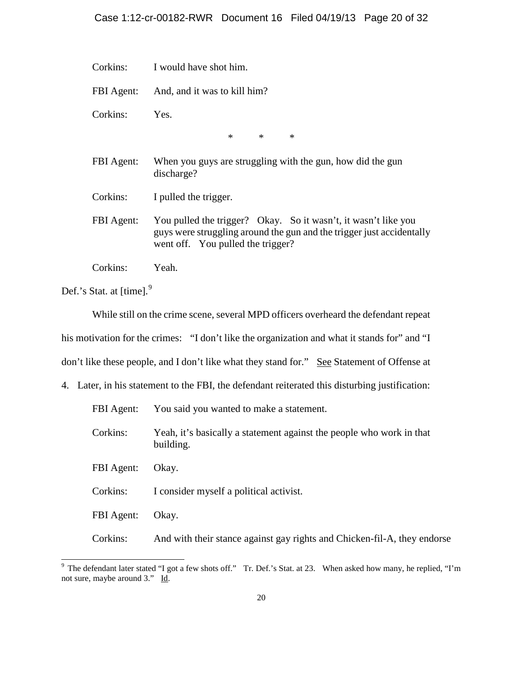- Corkins: I would have shot him.
- FBI Agent: And, and it was to kill him?
- Corkins: Yes.

\* \* \*

- FBI Agent: When you guys are struggling with the gun, how did the gun discharge?
- Corkins: I pulled the trigger.
- FBI Agent: You pulled the trigger? Okay. So it wasn't, it wasn't like you guys were struggling around the gun and the trigger just accidentally went off. You pulled the trigger?
- Corkins: Yeah.

Def.'s Stat. at [time].<sup>[9](#page-19-0)</sup>

While still on the crime scene, several MPD officers overheard the defendant repeat his motivation for the crimes: "I don't like the organization and what it stands for" and "I don't like these people, and I don't like what they stand for." See Statement of Offense at

4. Later, in his statement to the FBI, the defendant reiterated this disturbing justification:

| FBI Agent: | You said you wanted to make a statement.                                          |
|------------|-----------------------------------------------------------------------------------|
| Corkins:   | Yeah, it's basically a statement against the people who work in that<br>building. |
| FBI Agent: | Okay.                                                                             |
| Corkins:   | I consider myself a political activist.                                           |
| FBI Agent: | Okay.                                                                             |
| Corkins:   | And with their stance against gay rights and Chicken-fil-A, they endorse          |
|            |                                                                                   |

<span id="page-19-0"></span> $9$  The defendant later stated "I got a few shots off." Tr. Def.'s Stat. at 23. When asked how many, he replied, "I'm not sure, maybe around 3." Id.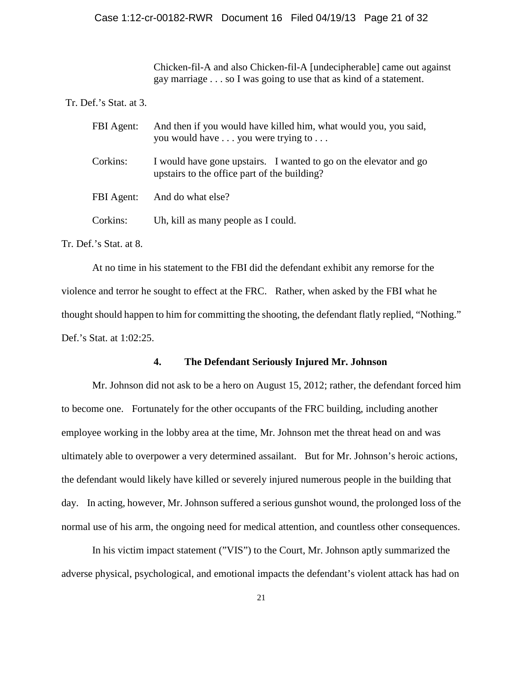Chicken-fil-A and also Chicken-fil-A [undecipherable] came out against gay marriage . . . so I was going to use that as kind of a statement.

### Tr. Def.'s Stat. at 3.

| FBI Agent: | And then if you would have killed him, what would you, you said,<br>you would have you were trying to             |
|------------|-------------------------------------------------------------------------------------------------------------------|
| Corkins:   | I would have gone upstairs. I wanted to go on the elevator and go<br>upstairs to the office part of the building? |
| FBI Agent: | And do what else?                                                                                                 |
| Corkins:   | Uh, kill as many people as I could.                                                                               |

Tr. Def.'s Stat. at 8.

At no time in his statement to the FBI did the defendant exhibit any remorse for the violence and terror he sought to effect at the FRC. Rather, when asked by the FBI what he thought should happen to him for committing the shooting, the defendant flatly replied, "Nothing." Def.'s Stat. at 1:02:25.

## **4. The Defendant Seriously Injured Mr. Johnson**

Mr. Johnson did not ask to be a hero on August 15, 2012; rather, the defendant forced him to become one. Fortunately for the other occupants of the FRC building, including another employee working in the lobby area at the time, Mr. Johnson met the threat head on and was ultimately able to overpower a very determined assailant. But for Mr. Johnson's heroic actions, the defendant would likely have killed or severely injured numerous people in the building that day. In acting, however, Mr. Johnson suffered a serious gunshot wound, the prolonged loss of the normal use of his arm, the ongoing need for medical attention, and countless other consequences.

In his victim impact statement ("VIS") to the Court, Mr. Johnson aptly summarized the adverse physical, psychological, and emotional impacts the defendant's violent attack has had on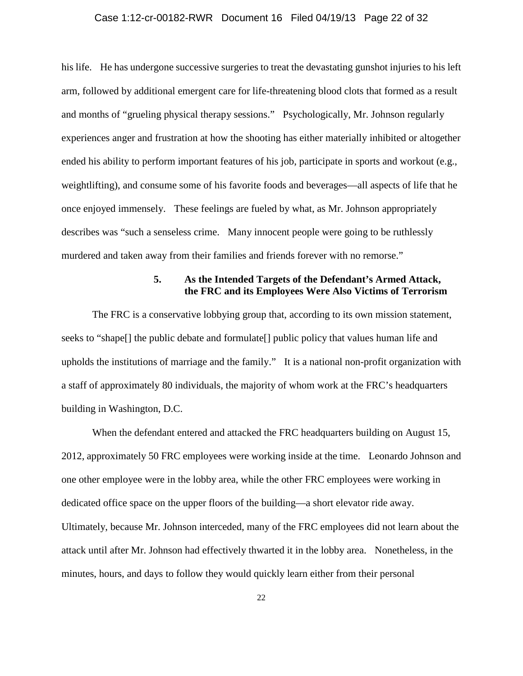### Case 1:12-cr-00182-RWR Document 16 Filed 04/19/13 Page 22 of 32

his life. He has undergone successive surgeries to treat the devastating gunshot injuries to his left arm, followed by additional emergent care for life-threatening blood clots that formed as a result and months of "grueling physical therapy sessions." Psychologically, Mr. Johnson regularly experiences anger and frustration at how the shooting has either materially inhibited or altogether ended his ability to perform important features of his job, participate in sports and workout (e.g., weightlifting), and consume some of his favorite foods and beverages—all aspects of life that he once enjoyed immensely. These feelings are fueled by what, as Mr. Johnson appropriately describes was "such a senseless crime. Many innocent people were going to be ruthlessly murdered and taken away from their families and friends forever with no remorse."

# **5. As the Intended Targets of the Defendant's Armed Attack, the FRC and its Employees Were Also Victims of Terrorism**

The FRC is a conservative lobbying group that, according to its own mission statement, seeks to "shape[] the public debate and formulate[] public policy that values human life and upholds the institutions of marriage and the family." It is a national non-profit organization with a staff of approximately 80 individuals, the majority of whom work at the FRC's headquarters building in Washington, D.C.

When the defendant entered and attacked the FRC headquarters building on August 15, 2012, approximately 50 FRC employees were working inside at the time. Leonardo Johnson and one other employee were in the lobby area, while the other FRC employees were working in dedicated office space on the upper floors of the building—a short elevator ride away. Ultimately, because Mr. Johnson interceded, many of the FRC employees did not learn about the attack until after Mr. Johnson had effectively thwarted it in the lobby area. Nonetheless, in the minutes, hours, and days to follow they would quickly learn either from their personal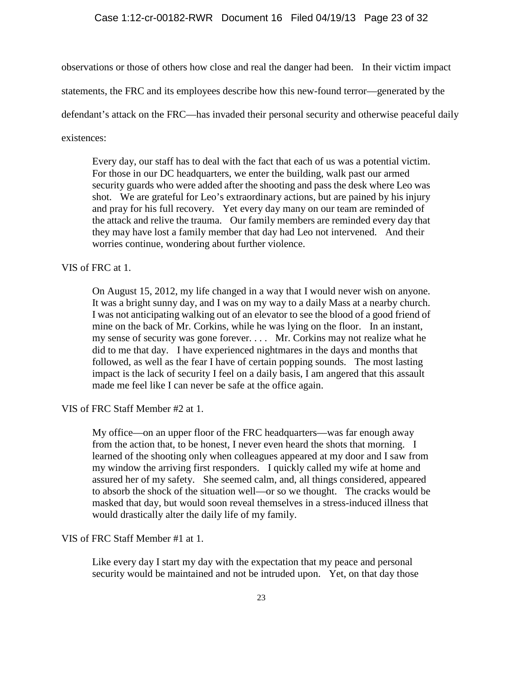#### Case 1:12-cr-00182-RWR Document 16 Filed 04/19/13 Page 23 of 32

observations or those of others how close and real the danger had been. In their victim impact

statements, the FRC and its employees describe how this new-found terror—generated by the

defendant's attack on the FRC—has invaded their personal security and otherwise peaceful daily

existences:

Every day, our staff has to deal with the fact that each of us was a potential victim. For those in our DC headquarters, we enter the building, walk past our armed security guards who were added after the shooting and pass the desk where Leo was shot. We are grateful for Leo's extraordinary actions, but are pained by his injury and pray for his full recovery. Yet every day many on our team are reminded of the attack and relive the trauma. Our family members are reminded every day that they may have lost a family member that day had Leo not intervened. And their worries continue, wondering about further violence.

VIS of FRC at 1.

On August 15, 2012, my life changed in a way that I would never wish on anyone. It was a bright sunny day, and I was on my way to a daily Mass at a nearby church. I was not anticipating walking out of an elevator to see the blood of a good friend of mine on the back of Mr. Corkins, while he was lying on the floor. In an instant, my sense of security was gone forever. . . . Mr. Corkins may not realize what he did to me that day. I have experienced nightmares in the days and months that followed, as well as the fear I have of certain popping sounds. The most lasting impact is the lack of security I feel on a daily basis, I am angered that this assault made me feel like I can never be safe at the office again.

VIS of FRC Staff Member #2 at 1.

My office—on an upper floor of the FRC headquarters—was far enough away from the action that, to be honest, I never even heard the shots that morning. I learned of the shooting only when colleagues appeared at my door and I saw from my window the arriving first responders. I quickly called my wife at home and assured her of my safety. She seemed calm, and, all things considered, appeared to absorb the shock of the situation well—or so we thought. The cracks would be masked that day, but would soon reveal themselves in a stress-induced illness that would drastically alter the daily life of my family.

VIS of FRC Staff Member #1 at 1.

Like every day I start my day with the expectation that my peace and personal security would be maintained and not be intruded upon. Yet, on that day those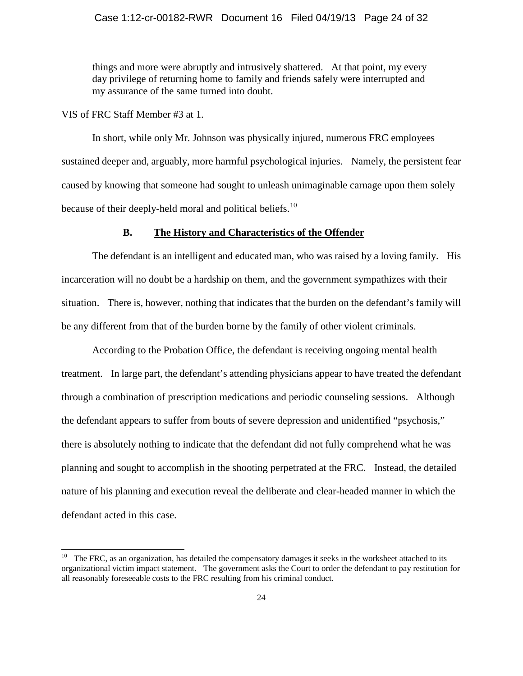#### Case 1:12-cr-00182-RWR Document 16 Filed 04/19/13 Page 24 of 32

things and more were abruptly and intrusively shattered. At that point, my every day privilege of returning home to family and friends safely were interrupted and my assurance of the same turned into doubt.

VIS of FRC Staff Member #3 at 1.

In short, while only Mr. Johnson was physically injured, numerous FRC employees sustained deeper and, arguably, more harmful psychological injuries. Namely, the persistent fear caused by knowing that someone had sought to unleash unimaginable carnage upon them solely because of their deeply-held moral and political beliefs.<sup>10</sup>

#### **B. The History and Characteristics of the Offender**

The defendant is an intelligent and educated man, who was raised by a loving family. His incarceration will no doubt be a hardship on them, and the government sympathizes with their situation. There is, however, nothing that indicates that the burden on the defendant's family will be any different from that of the burden borne by the family of other violent criminals.

According to the Probation Office, the defendant is receiving ongoing mental health treatment. In large part, the defendant's attending physicians appear to have treated the defendant through a combination of prescription medications and periodic counseling sessions. Although the defendant appears to suffer from bouts of severe depression and unidentified "psychosis," there is absolutely nothing to indicate that the defendant did not fully comprehend what he was planning and sought to accomplish in the shooting perpetrated at the FRC. Instead, the detailed nature of his planning and execution reveal the deliberate and clear-headed manner in which the defendant acted in this case.

<span id="page-23-0"></span> $10$  The FRC, as an organization, has detailed the compensatory damages it seeks in the worksheet attached to its organizational victim impact statement. The government asks the Court to order the defendant to pay restitution for all reasonably foreseeable costs to the FRC resulting from his criminal conduct.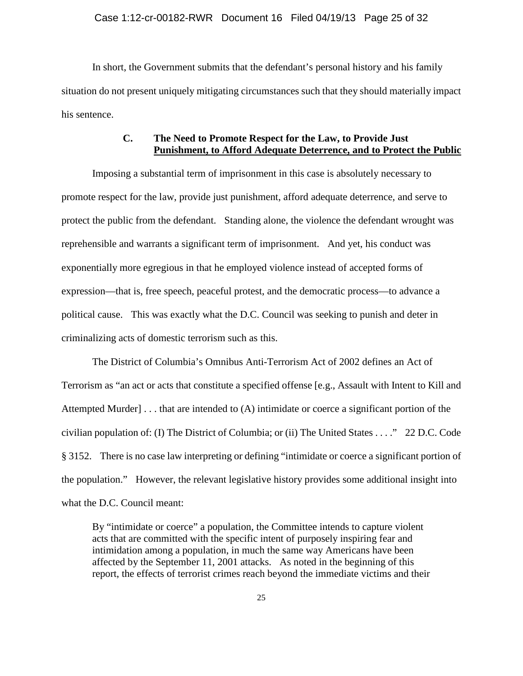### Case 1:12-cr-00182-RWR Document 16 Filed 04/19/13 Page 25 of 32

In short, the Government submits that the defendant's personal history and his family situation do not present uniquely mitigating circumstances such that they should materially impact his sentence.

# **C. The Need to Promote Respect for the Law, to Provide Just Punishment, to Afford Adequate Deterrence, and to Protect the Public**

Imposing a substantial term of imprisonment in this case is absolutely necessary to promote respect for the law, provide just punishment, afford adequate deterrence, and serve to protect the public from the defendant. Standing alone, the violence the defendant wrought was reprehensible and warrants a significant term of imprisonment. And yet, his conduct was exponentially more egregious in that he employed violence instead of accepted forms of expression—that is, free speech, peaceful protest, and the democratic process—to advance a political cause. This was exactly what the D.C. Council was seeking to punish and deter in criminalizing acts of domestic terrorism such as this.

The District of Columbia's Omnibus Anti-Terrorism Act of 2002 defines an Act of Terrorism as "an act or acts that constitute a specified offense [e.g., Assault with Intent to Kill and Attempted Murder] . . . that are intended to (A) intimidate or coerce a significant portion of the civilian population of: (I) The District of Columbia; or (ii) The United States . . . ." 22 D.C. Code § 3152. There is no case law interpreting or defining "intimidate or coerce a significant portion of the population." However, the relevant legislative history provides some additional insight into what the D.C. Council meant:

By "intimidate or coerce" a population, the Committee intends to capture violent acts that are committed with the specific intent of purposely inspiring fear and intimidation among a population, in much the same way Americans have been affected by the September 11, 2001 attacks. As noted in the beginning of this report, the effects of terrorist crimes reach beyond the immediate victims and their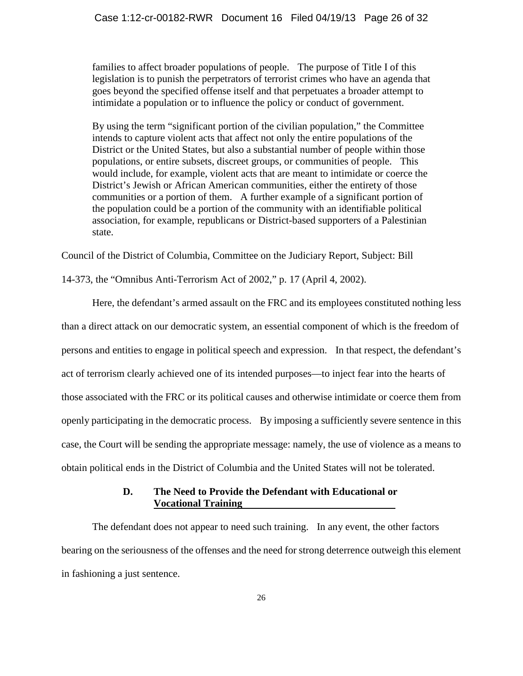families to affect broader populations of people. The purpose of Title I of this legislation is to punish the perpetrators of terrorist crimes who have an agenda that goes beyond the specified offense itself and that perpetuates a broader attempt to intimidate a population or to influence the policy or conduct of government.

By using the term "significant portion of the civilian population," the Committee intends to capture violent acts that affect not only the entire populations of the District or the United States, but also a substantial number of people within those populations, or entire subsets, discreet groups, or communities of people. This would include, for example, violent acts that are meant to intimidate or coerce the District's Jewish or African American communities, either the entirety of those communities or a portion of them. A further example of a significant portion of the population could be a portion of the community with an identifiable political association, for example, republicans or District-based supporters of a Palestinian state.

Council of the District of Columbia, Committee on the Judiciary Report, Subject: Bill

14-373, the "Omnibus Anti-Terrorism Act of 2002," p. 17 (April 4, 2002).

Here, the defendant's armed assault on the FRC and its employees constituted nothing less than a direct attack on our democratic system, an essential component of which is the freedom of persons and entities to engage in political speech and expression. In that respect, the defendant's act of terrorism clearly achieved one of its intended purposes—to inject fear into the hearts of those associated with the FRC or its political causes and otherwise intimidate or coerce them from openly participating in the democratic process. By imposing a sufficiently severe sentence in this case, the Court will be sending the appropriate message: namely, the use of violence as a means to obtain political ends in the District of Columbia and the United States will not be tolerated.

## **D. The Need to Provide the Defendant with Educational or Vocational Training**

The defendant does not appear to need such training. In any event, the other factors bearing on the seriousness of the offenses and the need for strong deterrence outweigh this element in fashioning a just sentence.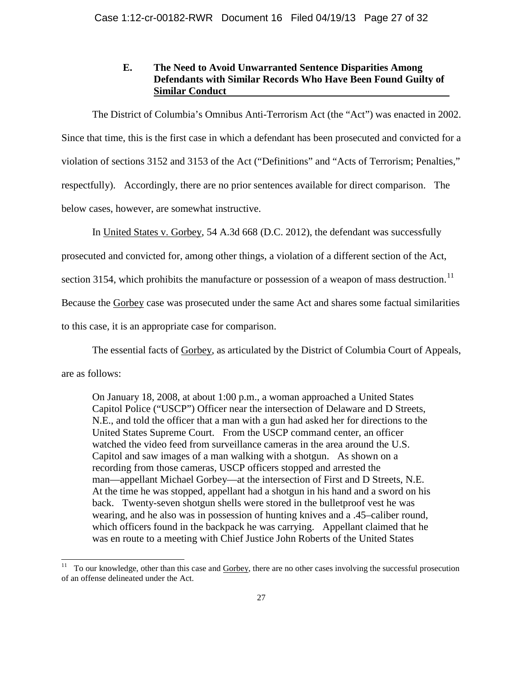# **E. The Need to Avoid Unwarranted Sentence Disparities Among Defendants with Similar Records Who Have Been Found Guilty of Similar Conduct**

The District of Columbia's Omnibus Anti-Terrorism Act (the "Act") was enacted in 2002. Since that time, this is the first case in which a defendant has been prosecuted and convicted for a violation of sections 3152 and 3153 of the Act ("Definitions" and "Acts of Terrorism; Penalties," respectfully). Accordingly, there are no prior sentences available for direct comparison. The below cases, however, are somewhat instructive.

In United States v. Gorbey, 54 A.3d 668 (D.C. 2012), the defendant was successfully

prosecuted and convicted for, among other things, a violation of a different section of the Act,

section 3154, which prohibits the manufacture or possession of a weapon of mass destruction.<sup>11</sup>

Because the Gorbey case was prosecuted under the same Act and shares some factual similarities

to this case, it is an appropriate case for comparison.

The essential facts of Gorbey, as articulated by the District of Columbia Court of Appeals,

are as follows:

On January 18, 2008, at about 1:00 p.m., a woman approached a United States Capitol Police ("USCP") Officer near the intersection of Delaware and D Streets, N.E., and told the officer that a man with a gun had asked her for directions to the United States Supreme Court. From the USCP command center, an officer watched the video feed from surveillance cameras in the area around the U.S. Capitol and saw images of a man walking with a shotgun. As shown on a recording from those cameras, USCP officers stopped and arrested the man—appellant Michael Gorbey—at the intersection of First and D Streets, N.E. At the time he was stopped, appellant had a shotgun in his hand and a sword on his back. Twenty-seven shotgun shells were stored in the bulletproof vest he was wearing, and he also was in possession of hunting knives and a .45–caliber round, which officers found in the backpack he was carrying. Appellant claimed that he was en route to a meeting with Chief Justice John Roberts of the United States

<span id="page-26-0"></span> $11$  To our knowledge, other than this case and Gorbey, there are no other cases involving the successful prosecution of an offense delineated under the Act.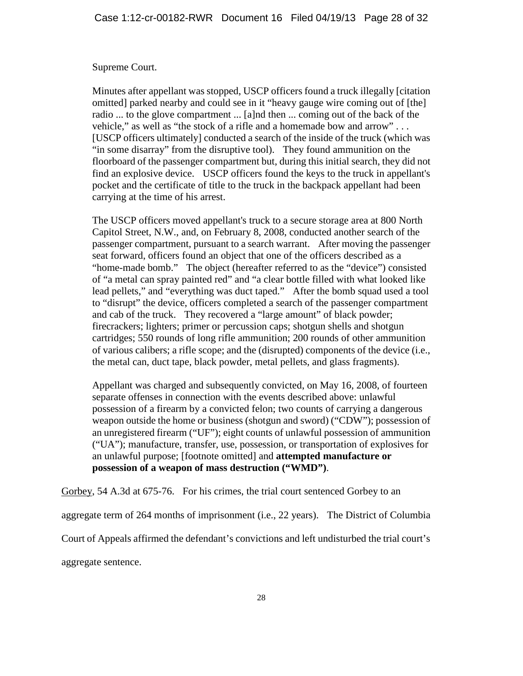## Supreme Court.

Minutes after appellant was stopped, USCP officers found a truck illegally [citation omitted] parked nearby and could see in it "heavy gauge wire coming out of [the] radio ... to the glove compartment ... [a]nd then ... coming out of the back of the vehicle," as well as "the stock of a rifle and a homemade bow and arrow" . . . [USCP officers ultimately] conducted a search of the inside of the truck (which was "in some disarray" from the disruptive tool). They found ammunition on the floorboard of the passenger compartment but, during this initial search, they did not find an explosive device. USCP officers found the keys to the truck in appellant's pocket and the certificate of title to the truck in the backpack appellant had been carrying at the time of his arrest.

The USCP officers moved appellant's truck to a secure storage area at 800 North Capitol Street, N.W., and, on February 8, 2008, conducted another search of the passenger compartment, pursuant to a search warrant. After moving the passenger seat forward, officers found an object that one of the officers described as a "home-made bomb." The object (hereafter referred to as the "device") consisted of "a metal can spray painted red" and "a clear bottle filled with what looked like lead pellets," and "everything was duct taped." After the bomb squad used a tool to "disrupt" the device, officers completed a search of the passenger compartment and cab of the truck. They recovered a "large amount" of black powder; firecrackers; lighters; primer or percussion caps; shotgun shells and shotgun cartridges; 550 rounds of long rifle ammunition; 200 rounds of other ammunition of various calibers; a rifle scope; and the (disrupted) components of the device (i.e., the metal can, duct tape, black powder, metal pellets, and glass fragments).

Appellant was charged and subsequently convicted, on May 16, 2008, of fourteen separate offenses in connection with the events described above: unlawful possession of a firearm by a convicted felon; two counts of carrying a dangerous weapon outside the home or business (shotgun and sword) ("CDW"); possession of an unregistered firearm ("UF"); eight counts of unlawful possession of ammunition ("UA"); manufacture, transfer, use, possession, or transportation of explosives for an unlawful purpose; [footnote omitted] and **attempted manufacture or possession of a weapon of mass destruction ("WMD")**.

Gorbey, 54 A.3d at 675-76. For his crimes, the trial court sentenced Gorbey to an

aggregate term of 264 months of imprisonment (i.e., 22 years). The District of Columbia

Court of Appeals affirmed the defendant's convictions and left undisturbed the trial court's

aggregate sentence.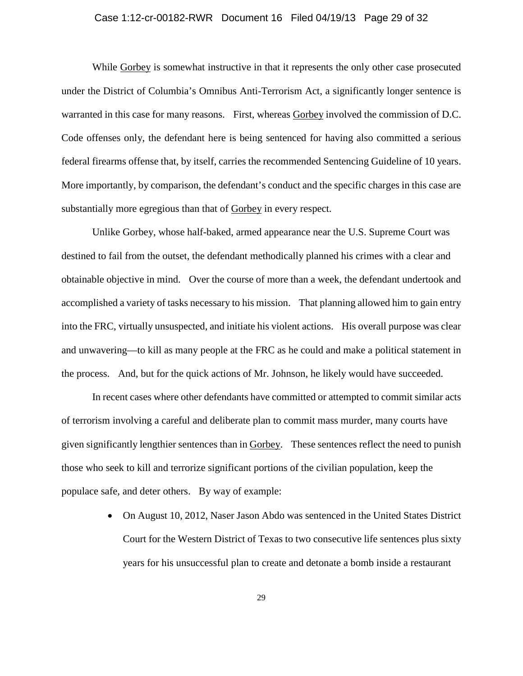### Case 1:12-cr-00182-RWR Document 16 Filed 04/19/13 Page 29 of 32

While Gorbey is somewhat instructive in that it represents the only other case prosecuted under the District of Columbia's Omnibus Anti-Terrorism Act, a significantly longer sentence is warranted in this case for many reasons. First, whereas Gorbey involved the commission of D.C. Code offenses only, the defendant here is being sentenced for having also committed a serious federal firearms offense that, by itself, carries the recommended Sentencing Guideline of 10 years. More importantly, by comparison, the defendant's conduct and the specific charges in this case are substantially more egregious than that of Gorbey in every respect.

Unlike Gorbey, whose half-baked, armed appearance near the U.S. Supreme Court was destined to fail from the outset, the defendant methodically planned his crimes with a clear and obtainable objective in mind. Over the course of more than a week, the defendant undertook and accomplished a variety of tasks necessary to his mission. That planning allowed him to gain entry into the FRC, virtually unsuspected, and initiate his violent actions. His overall purpose was clear and unwavering—to kill as many people at the FRC as he could and make a political statement in the process. And, but for the quick actions of Mr. Johnson, he likely would have succeeded.

In recent cases where other defendants have committed or attempted to commit similar acts of terrorism involving a careful and deliberate plan to commit mass murder, many courts have given significantly lengthier sentences than in Gorbey. These sentences reflect the need to punish those who seek to kill and terrorize significant portions of the civilian population, keep the populace safe, and deter others. By way of example:

> • On August 10, 2012, Naser Jason Abdo was sentenced in the United States District Court for the Western District of Texas to two consecutive life sentences plus sixty years for his unsuccessful plan to create and detonate a bomb inside a restaurant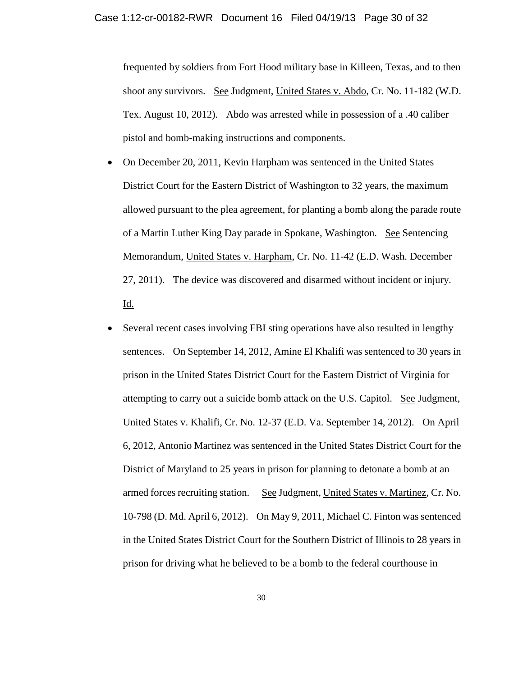frequented by soldiers from Fort Hood military base in Killeen, Texas, and to then shoot any survivors. See Judgment, United States v. Abdo, Cr. No. 11-182 (W.D. Tex. August 10, 2012). Abdo was arrested while in possession of a .40 caliber pistol and bomb-making instructions and components.

- On December 20, 2011, Kevin Harpham was sentenced in the United States District Court for the Eastern District of Washington to 32 years, the maximum allowed pursuant to the plea agreement, for planting a bomb along the parade route of a Martin Luther King Day parade in Spokane, Washington. See Sentencing Memorandum, United States v. Harpham, Cr. No. 11-42 (E.D. Wash. December 27, 2011). The device was discovered and disarmed without incident or injury. <u>Id.</u>
- Several recent cases involving FBI sting operations have also resulted in lengthy sentences. On September 14, 2012, Amine El Khalifi was sentenced to 30 years in prison in the United States District Court for the Eastern District of Virginia for attempting to carry out a suicide bomb attack on the U.S. Capitol. See Judgment, United States v. Khalifi, Cr. No. 12-37 (E.D. Va. September 14, 2012). On April 6, 2012, Antonio Martinez was sentenced in the United States District Court for the District of Maryland to 25 years in prison for planning to detonate a bomb at an armed forces recruiting station. See Judgment, United States v. Martinez, Cr. No. 10-798 (D. Md. April 6, 2012). On May 9, 2011, Michael C. Finton was sentenced in the United States District Court for the Southern District of Illinois to 28 years in prison for driving what he believed to be a bomb to the federal courthouse in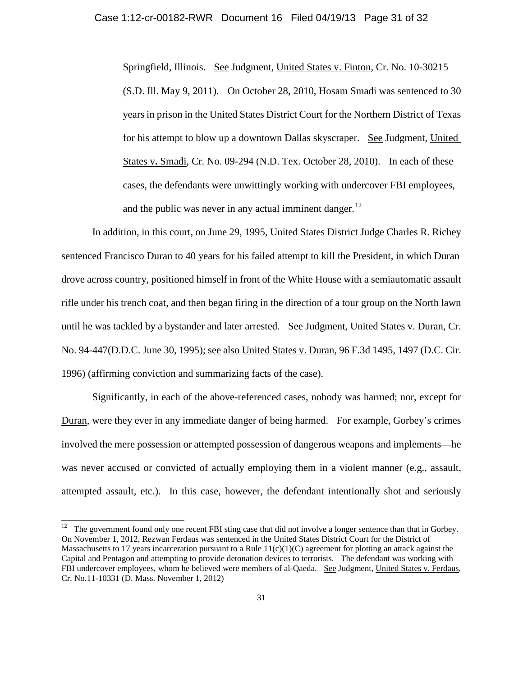Springfield, Illinois. See Judgment, United States v. Finton, Cr. No. 10-30215 (S.D. Ill. May 9, 2011). On October 28, 2010, Hosam Smadi was sentenced to 30 years in prison in the United States District Court for the Northern District of Texas for his attempt to blow up a downtown Dallas skyscraper. See Judgment, United States v**.** Smadi, Cr. No. 09-294 (N.D. Tex. October 28, 2010). In each of these cases, the defendants were unwittingly working with undercover FBI employees, and the public was never in any actual imminent danger.<sup>12</sup>

In addition, in this court, on June 29, 1995, United States District Judge Charles R. Richey sentenced Francisco Duran to 40 years for his failed attempt to kill the President, in which Duran drove across country, positioned himself in front of the White House with a semiautomatic assault rifle under his trench coat, and then began firing in the direction of a tour group on the North lawn until he was tackled by a bystander and later arrested. See Judgment, United States v. Duran, Cr. No. 94-447(D.D.C. June 30, 1995); see also United States v. Duran, 96 F.3d 1495, 1497 (D.C. Cir. 1996) (affirming conviction and summarizing facts of the case).

Significantly, in each of the above-referenced cases, nobody was harmed; nor, except for Duran, were they ever in any immediate danger of being harmed. For example, Gorbey's crimes involved the mere possession or attempted possession of dangerous weapons and implements—he was never accused or convicted of actually employing them in a violent manner (e.g., assault, attempted assault, etc.). In this case, however, the defendant intentionally shot and seriously

<span id="page-30-0"></span> <sup>12</sup> The government found only one recent FBI sting case that did not involve a longer sentence than that in Gorbey. On November 1, 2012, Rezwan Ferdaus was sentenced in the United States District Court for the District of Massachusetts to 17 years incarceration pursuant to a Rule  $11(c)(1)(C)$  agreement for plotting an attack against the Capital and Pentagon and attempting to provide detonation devices to terrorists. The defendant was working with FBI undercover employees, whom he believed were members of al-Qaeda. See Judgment, United States v. Ferdaus, Cr. No.11-10331 (D. Mass. November 1, 2012)